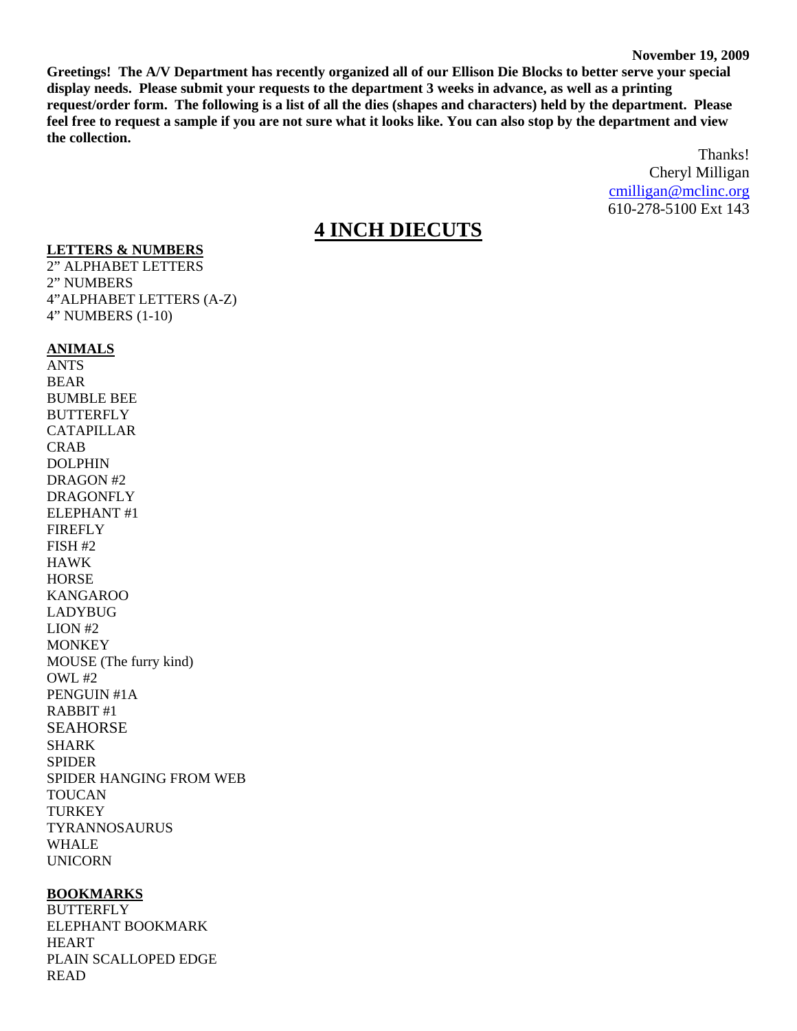**Greetings! The A/V Department has recently organized all of our Ellison Die Blocks to better serve your special display needs. Please submit your requests to the department 3 weeks in advance, as well as a printing request/order form. The following is a list of all the dies (shapes and characters) held by the department. Please feel free to request a sample if you are not sure what it looks like. You can also stop by the department and view the collection.** 

> Thanks! Cheryl Milligan [cmilligan@mclinc.org](mailto:cmilligan@mclinc.org) 610-278-5100 Ext 143

# **4 INCH DIECUTS**

#### **LETTERS & NUMBERS**

2" ALPHABET LETTERS 2" NUMBERS 4"ALPHABET LETTERS (A-Z) 4" NUMBERS (1-10)

#### **ANIMALS**

ANTS BEAR BUMBLE BEE **BUTTERFLY** CATAPILLAR CRAB DOLPHIN DRAGON #2 DRAGONFLY ELEPHANT #1 FIREFLY FISH #2 HAWK **HORSE** KANGAROO LADYBUG LION #2 **MONKEY** MOUSE (The furry kind) OWL #2 PENGUIN #1A RABBIT #1 SEAHORSE SHARK SPIDER SPIDER HANGING FROM WEB TOUCAN TURKEY TYRANNOSAURUS WHALE UNICORN

#### **BOOKMARKS**

**BUTTERFLY** ELEPHANT BOOKMARK HEART PLAIN SCALLOPED EDGE READ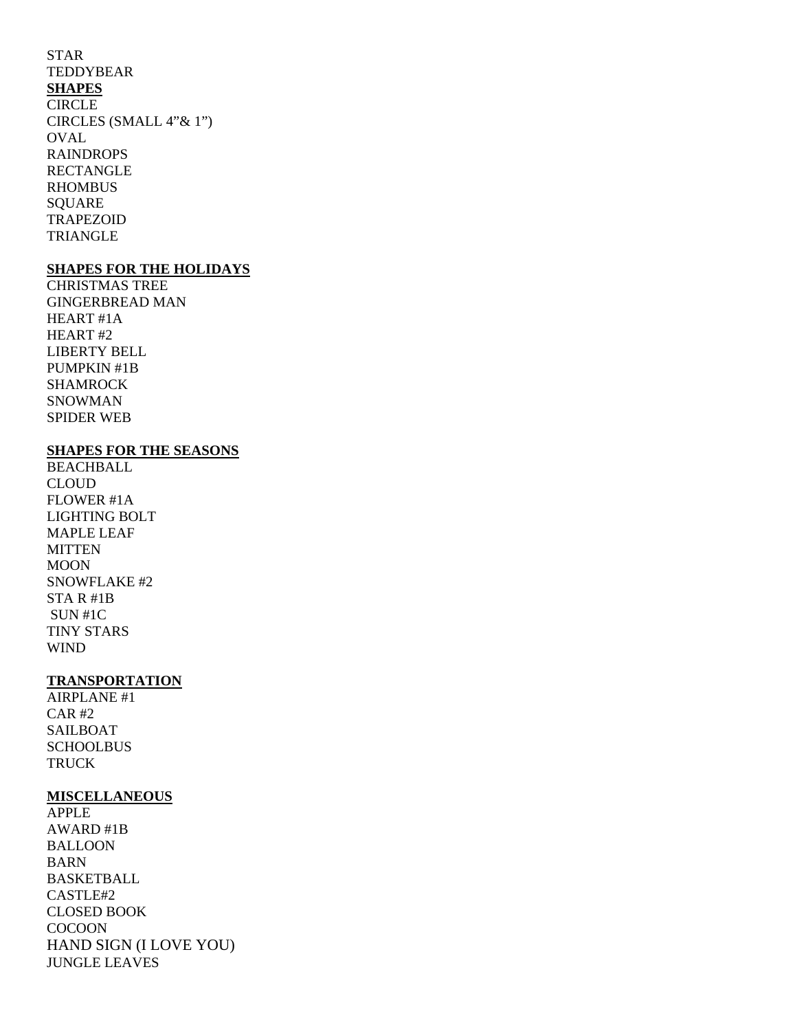#### STAR TEDDYBEAR

# **SHAPES**

**CIRCLE** CIRCLES (SMALL 4"& 1") **OVAL** RAINDROPS RECTANGLE RHOMBUS **SOUARE** TRAPEZOID TRIANGLE

### **SHAPES FOR THE HOLIDAYS**

CHRISTMAS TREE GINGERBREAD MAN HEART #1A HEART #2 LIBERTY BELL PUMPKIN #1B SHAMROCK SNOWMAN SPIDER WEB

# **SHAPES FOR THE SEASONS**

**BEACHBALL** CLOUD FLOWER #1A LIGHTING BOLT MAPLE LEAF **MITTEN** MOON SNOWFLAKE #2 STA R #1B SUN #1C TINY STARS WIND

# **TRANSPORTATION**

AIRPLANE #1 CAR #2 SAILBOAT **SCHOOLBUS TRUCK** 

# **MISCELLANEOUS**

APPLE AWARD #1B BALLOON BARN BASKETBALL CASTLE#2 CLOSED BOOK COCOON HAND SIGN (I LOVE YOU) JUNGLE LEAVES